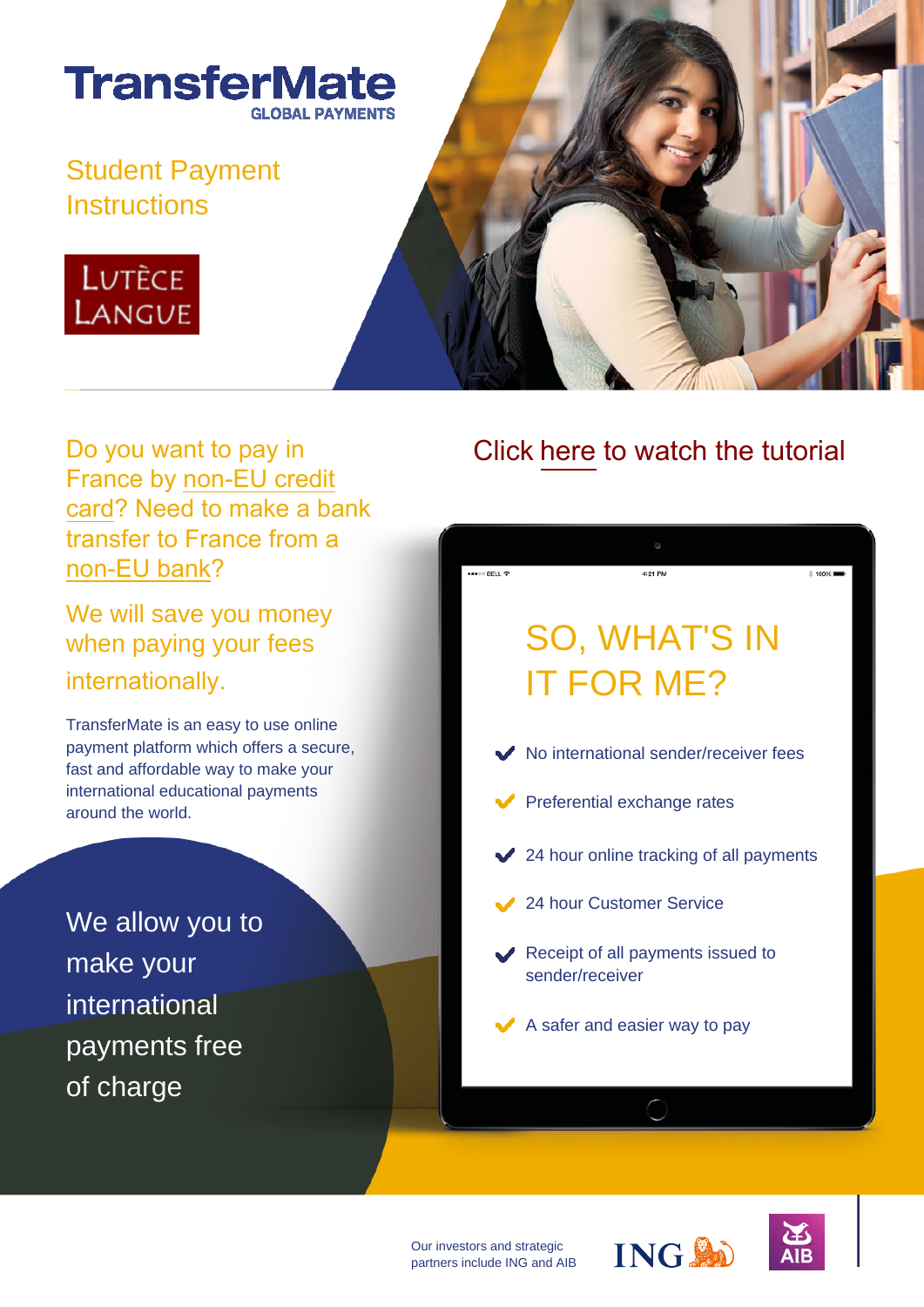

## Student Payment **Instructions**





Do you want to pay in France by non-EU credit card? Need to make a bank transfer to France from a non-EU bank?

We will save you money when paying your fees internationally.

TransferMate is an easy to use online payment platform which offers a secure, fast and affordable way to make your international educational payments around the world.

We allow you to make your international payments free of charge

## Click [here](https://player.vimeo.com/video/358018950?rel=0&autoplay=1) to watch the tutorial



Our investors and strategic partners include ING and AIB